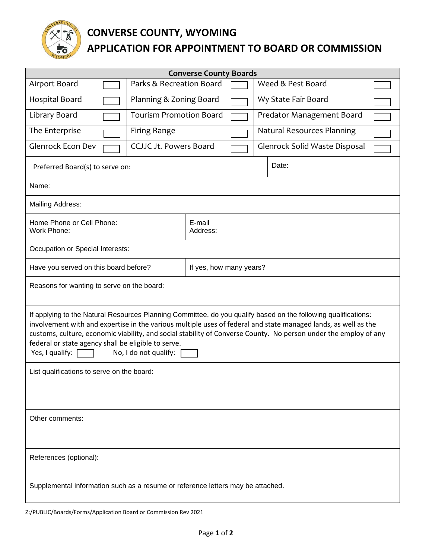

## **CONVERSE COUNTY, WYOMING APPLICATION FOR APPOINTMENT TO BOARD OR COMMISSION**

| <b>Converse County Boards</b>                                                                                                                                                                                                                                                                                                                                                                                                                           |                                |                         |                               |  |  |  |  |
|---------------------------------------------------------------------------------------------------------------------------------------------------------------------------------------------------------------------------------------------------------------------------------------------------------------------------------------------------------------------------------------------------------------------------------------------------------|--------------------------------|-------------------------|-------------------------------|--|--|--|--|
| Airport Board                                                                                                                                                                                                                                                                                                                                                                                                                                           | Parks & Recreation Board       |                         | Weed & Pest Board             |  |  |  |  |
| <b>Hospital Board</b>                                                                                                                                                                                                                                                                                                                                                                                                                                   | Planning & Zoning Board        |                         | Wy State Fair Board           |  |  |  |  |
| Library Board                                                                                                                                                                                                                                                                                                                                                                                                                                           | <b>Tourism Promotion Board</b> |                         | Predator Management Board     |  |  |  |  |
| The Enterprise                                                                                                                                                                                                                                                                                                                                                                                                                                          | <b>Firing Range</b>            |                         | Natural Resources Planning    |  |  |  |  |
| <b>Glenrock Econ Dev</b>                                                                                                                                                                                                                                                                                                                                                                                                                                | <b>CCJJC Jt. Powers Board</b>  |                         | Glenrock Solid Waste Disposal |  |  |  |  |
| Preferred Board(s) to serve on:                                                                                                                                                                                                                                                                                                                                                                                                                         |                                |                         | Date:                         |  |  |  |  |
| Name:                                                                                                                                                                                                                                                                                                                                                                                                                                                   |                                |                         |                               |  |  |  |  |
| <b>Mailing Address:</b>                                                                                                                                                                                                                                                                                                                                                                                                                                 |                                |                         |                               |  |  |  |  |
| Home Phone or Cell Phone:<br>Work Phone:                                                                                                                                                                                                                                                                                                                                                                                                                |                                | E-mail<br>Address:      |                               |  |  |  |  |
| Occupation or Special Interests:                                                                                                                                                                                                                                                                                                                                                                                                                        |                                |                         |                               |  |  |  |  |
| Have you served on this board before?                                                                                                                                                                                                                                                                                                                                                                                                                   |                                | If yes, how many years? |                               |  |  |  |  |
| Reasons for wanting to serve on the board:                                                                                                                                                                                                                                                                                                                                                                                                              |                                |                         |                               |  |  |  |  |
| If applying to the Natural Resources Planning Committee, do you qualify based on the following qualifications:<br>involvement with and expertise in the various multiple uses of federal and state managed lands, as well as the<br>customs, culture, economic viability, and social stability of Converse County. No person under the employ of any<br>federal or state agency shall be eligible to serve.<br>Yes, I qualify:<br>No, I do not qualify: |                                |                         |                               |  |  |  |  |
| List qualifications to serve on the board:                                                                                                                                                                                                                                                                                                                                                                                                              |                                |                         |                               |  |  |  |  |
|                                                                                                                                                                                                                                                                                                                                                                                                                                                         |                                |                         |                               |  |  |  |  |
| Other comments:                                                                                                                                                                                                                                                                                                                                                                                                                                         |                                |                         |                               |  |  |  |  |
| References (optional):                                                                                                                                                                                                                                                                                                                                                                                                                                  |                                |                         |                               |  |  |  |  |
| Supplemental information such as a resume or reference letters may be attached.                                                                                                                                                                                                                                                                                                                                                                         |                                |                         |                               |  |  |  |  |